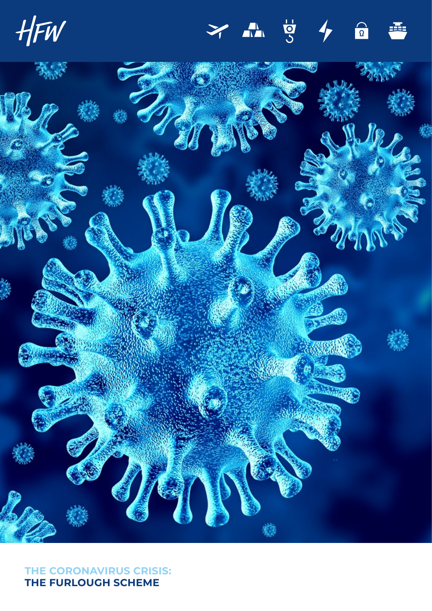HFW

## **UD AL**  $\overline{a}$



**THE CORONAVIRUS CRISIS: THE FURLOUGH SCHEME**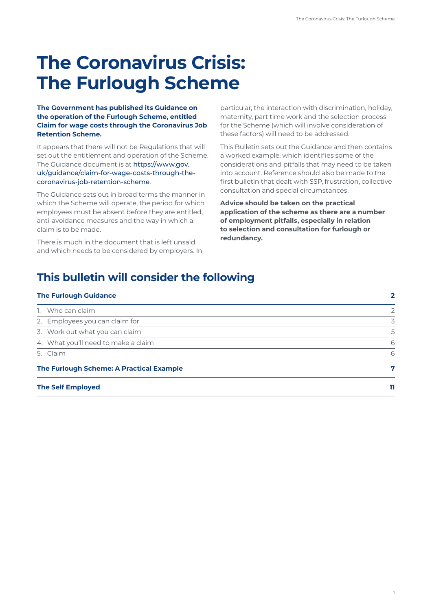# **The Coronavirus Crisis: The Furlough Scheme**

## **The Government has published its Guidance on the operation of the Furlough Scheme, entitled Claim for wage costs through the Coronavirus Job Retention Scheme.**

It appears that there will not be Regulations that will set out the entitlement and operation of the Scheme. The Guidance document is at [https://www.gov.](https://www.gov.uk/guidance/claim-for-wage-costs-through-the-coronavirus-job-retention-scheme) [uk/guidance/claim-for-wage-costs-through-the](https://www.gov.uk/guidance/claim-for-wage-costs-through-the-coronavirus-job-retention-scheme)[coronavirus-job-retention-scheme](https://www.gov.uk/guidance/claim-for-wage-costs-through-the-coronavirus-job-retention-scheme).

The Guidance sets out in broad terms the manner in which the Scheme will operate, the period for which employees must be absent before they are entitled, anti-avoidance measures and the way in which a claim is to be made.

There is much in the document that is left unsaid and which needs to be considered by employers. In

particular, the interaction with discrimination, holiday, maternity, part time work and the selection process for the Scheme (which will involve consideration of these factors) will need to be addressed.

This Bulletin sets out the Guidance and then contains a worked example, which identifies some of the considerations and pitfalls that may need to be taken into account. Reference should also be made to the first bulletin that dealt with SSP, frustration, collective consultation and special circumstances.

**Advice should be taken on the practical application of the scheme as there are a number of employment pitfalls, especially in relation to selection and consultation for furlough or redundancy.**

## **This bulletin will consider the following**

| <b>The Furlough Guidance</b>             | 2  |
|------------------------------------------|----|
| 1. Who can claim                         | 2  |
| 2. Employees you can claim for           | 3  |
| 3. Work out what you can claim           | 5  |
| 4. What you'll need to make a claim      | 6  |
| 5. Claim                                 | 6  |
| The Furlough Scheme: A Practical Example | 7  |
| <b>The Self Employed</b>                 | 11 |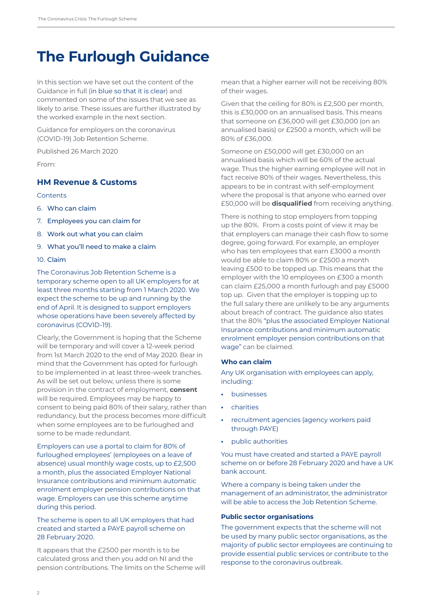## <span id="page-3-0"></span>**The Furlough Guidance**

In this section we have set out the content of the Guidance in full (in blue so that it is clear) and commented on some of the issues that we see as likely to arise. These issues are further illustrated by the worked example in the next section.

Guidance for employers on the coronavirus (COVID-19) Job Retention Scheme.

Published 26 March 2020

From:

## **[HM Revenue & Customs](https://www.gov.uk/government/organisations/hm-revenue-customs)**

#### **Contents**

- 6. [Who can claim](https://www.gov.uk/guidance/claim-for-wage-costs-through-the-coronavirus-job-retention-scheme#who-can-claim)
- 7. [Employees you can claim for](https://www.gov.uk/guidance/claim-for-wage-costs-through-the-coronavirus-job-retention-scheme#employees-you-can-claim-for)
- 8. [Work out what you can claim](https://www.gov.uk/guidance/claim-for-wage-costs-through-the-coronavirus-job-retention-scheme#work-out-what-you-can-claim)
- 9. [What you'll need to make a claim](https://www.gov.uk/guidance/claim-for-wage-costs-through-the-coronavirus-job-retention-scheme#what-youll-need-to-make-a-claim)

## 10. [Claim](https://www.gov.uk/guidance/claim-for-wage-costs-through-the-coronavirus-job-retention-scheme#claim)

The Coronavirus Job Retention Scheme is a temporary scheme open to all UK employers for at least three months starting from 1 March 2020. We expect the scheme to be up and running by the end of April. It is designed to support employers whose operations have been severely affected by coronavirus (COVID-19).

Clearly, the Government is hoping that the Scheme will be temporary and will cover a 12-week period from 1st March 2020 to the end of May 2020. Bear in mind that the Government has opted for furlough to be implemented in at least three-week tranches. As will be set out below, unless there is some provision in the contract of employment, **consent** will be required. Employees may be happy to consent to being paid 80% of their salary, rather than redundancy, but the process becomes more difficult when some employees are to be furloughed and some to be made redundant.

Employers can use a portal to claim for 80% of furloughed employees' (employees on a leave of absence) usual monthly wage costs, up to £2,500 a month, plus the associated Employer National Insurance contributions and minimum automatic enrolment employer pension contributions on that wage. Employers can use this scheme anytime during this period.

## The scheme is open to all UK employers that had created and started a PAYE payroll scheme on 28 February 2020.

It appears that the £2500 per month is to be calculated gross and then you add on NI and the pension contributions. The limits on the Scheme will

mean that a higher earner will not be receiving 80% of their wages.

Given that the ceiling for 80% is £2,500 per month, this is £30,000 on an annualised basis. This means that someone on £36,000 will get £30,000 (on an annualised basis) or £2500 a month, which will be 80% of £36,000.

Someone on £50,000 will get £30,000 on an annualised basis which will be 60% of the actual wage. Thus the higher earning employee will not in fact receive 80% of their wages. Nevertheless, this appears to be in contrast with self-employment where the proposal is that anyone who earned over £50,000 will be **disqualified** from receiving anything.

There is nothing to stop employers from topping up the 80%. From a costs point of view it may be that employers can manage their cash flow to some degree, going forward. For example, an employer who has ten employees that earn £3000 a month would be able to claim 80% or £2500 a month leaving £500 to be topped up. This means that the employer with the 10 employees on £300 a month can claim £25,000 a month furlough and pay £5000 top up. Given that the employer is topping up to the full salary there are unlikely to be any arguments about breach of contract. The guidance also states that the 80% "plus the associated Employer National Insurance contributions and minimum automatic enrolment employer pension contributions on that wage" can be claimed.

#### **Who can claim**

Any UK organisation with employees can apply, including:

- **•** businesses
- **•** charities
- **•** recruitment agencies (agency workers paid through PAYE)
- **•** public authorities

You must have created and started a PAYE payroll scheme on or before 28 February 2020 and have a UK bank account.

Where a company is being taken under the management of an administrator, the administrator will be able to access the Job Retention Scheme.

#### **Public sector organisations**

The government expects that the scheme will not be used by many public sector organisations, as the majority of public sector employees are continuing to provide essential public services or contribute to the response to the coronavirus outbreak.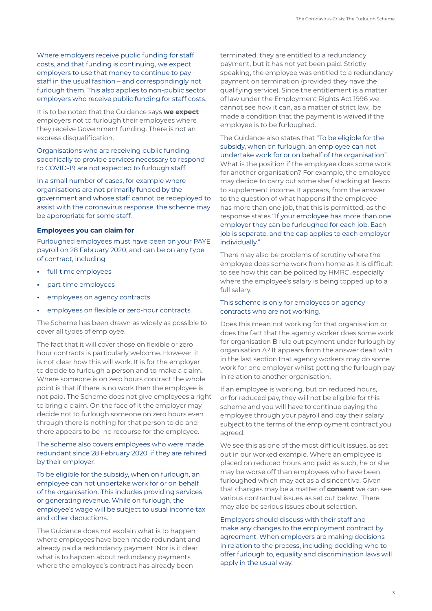Where employers receive public funding for staff costs, and that funding is continuing, we expect employers to use that money to continue to pay staff in the usual fashion – and correspondingly not furlough them. This also applies to non-public sector employers who receive public funding for staff costs.

It is to be noted that the Guidance says **we expect** employers not to furlough their employees where they receive Government funding. There is not an express disqualification.

Organisations who are receiving public funding specifically to provide services necessary to respond to COVID-19 are not expected to furlough staff.

In a small number of cases, for example where organisations are not primarily funded by the government and whose staff cannot be redeployed to assist with the coronavirus response, the scheme may be appropriate for some staff.

#### **Employees you can claim for**

Furloughed employees must have been on your PAYE payroll on 28 February 2020, and can be on any type of contract, including:

- **•** full-time employees
- **•** part-time employees
- **•** employees on agency contracts
- **•** employees on flexible or zero-hour contracts

The Scheme has been drawn as widely as possible to cover all types of employee.

The fact that it will cover those on flexible or zero hour contracts is particularly welcome. However, it is not clear how this will work. It is for the employer to decide to furlough a person and to make a claim. Where someone is on zero hours contract the whole point is that if there is no work then the employee is not paid. The Scheme does not give employees a right to bring a claim. On the face of it the employer may decide not to furlough someone on zero hours even through there is nothing for that person to do and there appears to be no recourse for the employee.

## The scheme also covers employees who were made redundant since 28 February 2020, if they are rehired by their employer.

To be eligible for the subsidy, when on furlough, an employee can not undertake work for or on behalf of the organisation. This includes providing services or generating revenue. While on furlough, the employee's wage will be subject to usual income tax and other deductions.

The Guidance does not explain what is to happen where employees have been made redundant and already paid a redundancy payment. Nor is it clear what is to happen about redundancy payments where the employee's contract has already been

terminated, they are entitled to a redundancy payment, but it has not yet been paid. Strictly speaking, the employee was entitled to a redundancy payment on termination (provided they have the qualifying service). Since the entitlement is a matter of law under the Employment Rights Act 1996 we cannot see how it can, as a matter of strict law, be made a condition that the payment is waived if the employee is to be furloughed.

The Guidance also states that "To be eligible for the subsidy, when on furlough, an employee can not undertake work for or on behalf of the organisation". What is the position if the employee does some work for another organisation? For example, the employee may decide to carry out some shelf stacking at Tesco to supplement income. It appears, from the answer to the question of what happens if the employee has more than one job, that this is permitted, as the response states "If your employee has more than one employer they can be furloughed for each job. Each job is separate, and the cap applies to each employer individually."

There may also be problems of scrutiny where the employee does some work from home as it is difficult to see how this can be policed by HMRC, especially where the employee's salary is being topped up to a full salary.

## This scheme is only for employees on agency contracts who are not working.

Does this mean not working for that organisation or does the fact that the agency worker does some work for organisation B rule out payment under furlough by organisation A? It appears from the answer dealt with in the last section that agency workers may do some work for one employer whilst getting the furlough pay in relation to another organisation.

If an employee is working, but on reduced hours, or for reduced pay, they will not be eligible for this scheme and you will have to continue paying the employee through your payroll and pay their salary subject to the terms of the employment contract you agreed.

We see this as one of the most difficult issues, as set out in our worked example. Where an employee is placed on reduced hours and paid as such, he or she may be worse off than employees who have been furloughed which may act as a disincentive. Given that changes may be a matter of **consent** we can see various contractual issues as set out below. There may also be serious issues about selection.

Employers should discuss with their staff and make any changes to the employment contract by agreement. When employers are making decisions in relation to the process, including deciding who to offer furlough to, equality and discrimination laws will apply in the usual way.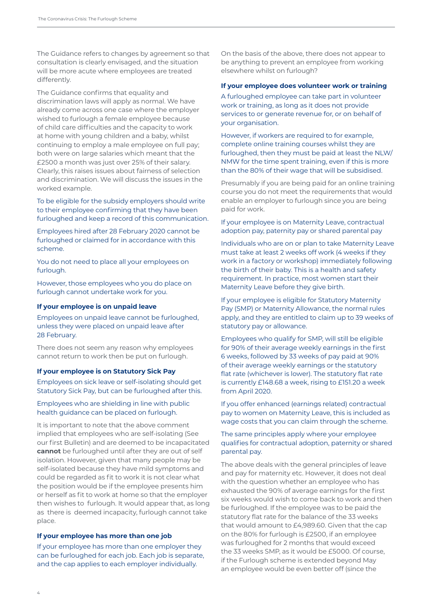The Guidance refers to changes by agreement so that consultation is clearly envisaged, and the situation will be more acute where employees are treated differently.

The Guidance confirms that equality and discrimination laws will apply as normal. We have already come across one case where the employer wished to furlough a female employee because of child care difficulties and the capacity to work at home with young children and a baby, whilst continuing to employ a male employee on full pay; both were on large salaries which meant that the £2500 a month was just over 25% of their salary. Clearly, this raises issues about fairness of selection and discrimination. We will discuss the issues in the worked example.

To be eligible for the subsidy employers should write to their employee confirming that they have been furloughed and keep a record of this communication.

Employees hired after 28 February 2020 cannot be furloughed or claimed for in accordance with this scheme.

You do not need to place all your employees on furlough.

However, those employees who you do place on furlough cannot undertake work for you.

#### **If your employee is on unpaid leave**

Employees on unpaid leave cannot be furloughed, unless they were placed on unpaid leave after 28 February.

There does not seem any reason why employees cannot return to work then be put on furlough.

#### **If your employee is on Statutory Sick Pay**

Employees on sick leave or self-isolating should get Statutory Sick Pay, but can be furloughed after this.

Employees who are shielding in line with public health guidance can be placed on furlough.

It is important to note that the above comment implied that employees who are self-isolating (See our first Bulletin) and are deemed to be incapacitated **cannot** be furloughed until after they are out of self isolation. However, given that many people may be self-isolated because they have mild symptoms and could be regarded as fit to work it is not clear what the position would be if the employee presents him or herself as fit to work at home so that the employer then wishes to furlough. It would appear that, as long as there is deemed incapacity, furlough cannot take place.

## **If your employee has more than one job**

If your employee has more than one employer they can be furloughed for each job. Each job is separate, and the cap applies to each employer individually.

On the basis of the above, there does not appear to be anything to prevent an employee from working elsewhere whilst on furlough?

#### **If your employee does volunteer work or training**

A furloughed employee can take part in volunteer work or training, as long as it does not provide services to or generate revenue for, or on behalf of your organisation.

However, if workers are required to for example, complete online training courses whilst they are furloughed, then they must be paid at least the NLW/ NMW for the time spent training, even if this is more than the 80% of their wage that will be subsidised.

Presumably if you are being paid for an online training course you do not meet the requirements that would enable an employer to furlough since you are being paid for work.

If your employee is on Maternity Leave, contractual adoption pay, paternity pay or shared parental pay

Individuals who are on or plan to take Maternity Leave must take at least 2 weeks off work (4 weeks if they work in a factory or workshop) immediately following the birth of their baby. This is a health and safety requirement. In practice, most women start their Maternity Leave before they give birth.

If your employee is eligible for Statutory Maternity Pay (SMP) or Maternity Allowance, the normal rules apply, and they are entitled to claim up to 39 weeks of statutory pay or allowance.

Employees who qualify for SMP, will still be eligible for 90% of their average weekly earnings in the first 6 weeks, followed by 33 weeks of pay paid at 90% of their average weekly earnings or the statutory flat rate (whichever is lower). The statutory flat rate is currently £148.68 a week, rising to £151.20 a week from April 2020.

If you offer enhanced (earnings related) contractual pay to women on Maternity Leave, this is included as wage costs that you can claim through the scheme.

The same principles apply where your employee qualifies for contractual adoption, paternity or shared parental pay.

The above deals with the general principles of leave and pay for maternity etc. However, it does not deal with the question whether an employee who has exhausted the 90% of average earnings for the first six weeks would wish to come back to work and then be furloughed. If the employee was to be paid the statutory flat rate for the balance of the 33 weeks that would amount to £4,989.60. Given that the cap on the 80% for furlough is £2500, if an employee was furloughed for 2 months that would exceed the 33 weeks SMP, as it would be £5000. Of course, if the Furlough scheme is extended beyond May an employee would be even better off (since the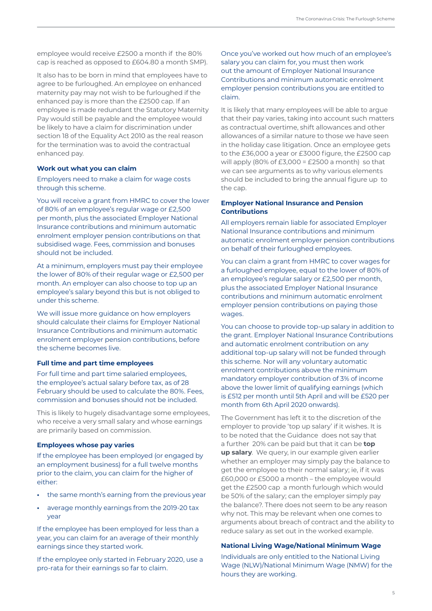employee would receive £2500 a month if the 80% cap is reached as opposed to £604.80 a month SMP).

It also has to be born in mind that employees have to agree to be furloughed. An employee on enhanced maternity pay may not wish to be furloughed if the enhanced pay is more than the £2500 cap. If an employee is made redundant the Statutory Maternity Pay would still be payable and the employee would be likely to have a claim for discrimination under section 18 of the Equality Act 2010 as the real reason for the termination was to avoid the contractual enhanced pay.

#### **Work out what you can claim**

Employers need to make a claim for wage costs through this scheme.

You will receive a grant from HMRC to cover the lower of 80% of an employee's regular wage or £2,500 per month, plus the associated Employer National Insurance contributions and minimum automatic enrolment employer pension contributions on that subsidised wage. Fees, commission and bonuses should not be included.

At a minimum, employers must pay their employee the lower of 80% of their regular wage or £2,500 per month. An employer can also choose to top up an employee's salary beyond this but is not obliged to under this scheme.

We will issue more guidance on how employers should calculate their claims for Employer National Insurance Contributions and minimum automatic enrolment employer pension contributions, before the scheme becomes live.

#### **Full time and part time employees**

For full time and part time salaried employees, the employee's actual salary before tax, as of 28 February should be used to calculate the 80%. Fees, commission and bonuses should not be included.

This is likely to hugely disadvantage some employees, who receive a very small salary and whose earnings are primarily based on commission.

#### **Employees whose pay varies**

If the employee has been employed (or engaged by an employment business) for a full twelve months prior to the claim, you can claim for the higher of either:

- **•** the same month's earning from the previous year
- **•** average monthly earnings from the 2019-20 tax year

If the employee has been employed for less than a year, you can claim for an average of their monthly earnings since they started work.

If the employee only started in February 2020, use a pro-rata for their earnings so far to claim.

Once you've worked out how much of an employee's salary you can claim for, you must then work out the amount of Employer National Insurance Contributions and minimum automatic enrolment employer pension contributions you are entitled to claim.

It is likely that many employees will be able to argue that their pay varies, taking into account such matters as contractual overtime, shift allowances and other allowances of a similar nature to those we have seen in the holiday case litigation. Once an employee gets to the £36,000 a year or £3000 figure, the £2500 cap will apply (80% of  $£3,000 = £2500$  a month) so that we can see arguments as to why various elements should be included to bring the annual figure up to the cap.

## **Employer National Insurance and Pension Contributions**

All employers remain liable for associated Employer National Insurance contributions and minimum automatic enrolment employer pension contributions on behalf of their furloughed employees.

You can claim a grant from HMRC to cover wages for a furloughed employee, equal to the lower of 80% of an employee's regular salary or £2,500 per month, plus the associated Employer National Insurance contributions and minimum automatic enrolment employer pension contributions on paying those wages.

You can choose to provide top-up salary in addition to the grant. Employer National Insurance Contributions and automatic enrolment contribution on any additional top-up salary will not be funded through this scheme. Nor will any voluntary automatic enrolment contributions above the minimum mandatory employer contribution of 3% of income above the lower limit of qualifying earnings (which is £512 per month until 5th April and will be £520 per month from 6th April 2020 onwards).

The Government has left it to the discretion of the employer to provide 'top up salary' if it wishes. It is to be noted that the Guidance does not say that a further 20% can be paid but that it can be **top up salary**. We query, in our example given earlier whether an employer may simply pay the balance to get the employee to their normal salary; ie, if it was £60,000 or £5000 a month – the employee would get the £2500 cap a month furlough which would be 50% of the salary; can the employer simply pay the balance?. There does not seem to be any reason why not. This may be relevant when one comes to arguments about breach of contract and the ability to reduce salary as set out in the worked example.

## **National Living Wage/National Minimum Wage**

Individuals are only entitled to the National Living Wage (NLW)/National Minimum Wage (NMW) for the hours they are working.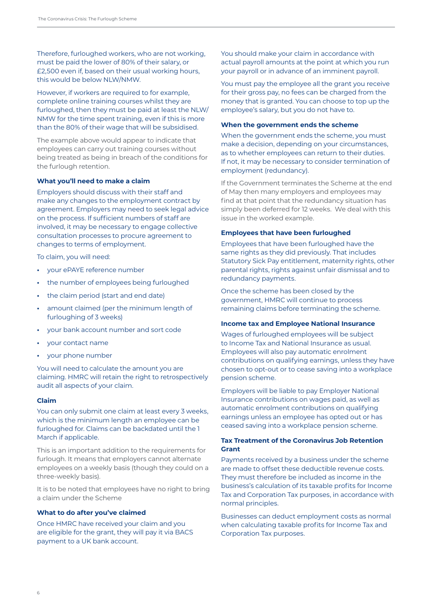Therefore, furloughed workers, who are not working, must be paid the lower of 80% of their salary, or £2,500 even if, based on their usual working hours, this would be below NLW/NMW.

However, if workers are required to for example, complete online training courses whilst they are furloughed, then they must be paid at least the NLW/ NMW for the time spent training, even if this is more than the 80% of their wage that will be subsidised.

The example above would appear to indicate that employees can carry out training courses without being treated as being in breach of the conditions for the furlough retention.

#### **What you'll need to make a claim**

Employers should discuss with their staff and make any changes to the employment contract by agreement. Employers may need to seek legal advice on the process. If sufficient numbers of staff are involved, it may be necessary to engage collective consultation processes to procure agreement to changes to terms of employment.

To claim, you will need:

- **•** your ePAYE reference number
- **•** the number of employees being furloughed
- **•** the claim period (start and end date)
- **•** amount claimed (per the minimum length of furloughing of 3 weeks)
- **•** your bank account number and sort code
- **•** your contact name
- **•** your phone number

You will need to calculate the amount you are claiming. HMRC will retain the right to retrospectively audit all aspects of your claim.

#### **Claim**

You can only submit one claim at least every 3 weeks, which is the minimum length an employee can be furloughed for. Claims can be backdated until the 1 March if applicable.

This is an important addition to the requirements for furlough. It means that employers cannot alternate employees on a weekly basis (though they could on a three-weekly basis).

It is to be noted that employees have no right to bring a claim under the Scheme

## **What to do after you've claimed**

Once HMRC have received your claim and you are eligible for the grant, they will pay it via BACS payment to a UK bank account.

You should make your claim in accordance with actual payroll amounts at the point at which you run your payroll or in advance of an imminent payroll.

You must pay the employee all the grant you receive for their gross pay, no fees can be charged from the money that is granted. You can choose to top up the employee's salary, but you do not have to.

#### **When the government ends the scheme**

When the government ends the scheme, you must make a decision, depending on your circumstances, as to whether employees can return to their duties. If not, it may be necessary to consider termination of employment (redundancy).

If the Government terminates the Scheme at the end of May then many employers and employees may find at that point that the redundancy situation has simply been deferred for 12 weeks. We deal with this issue in the worked example.

#### **Employees that have been furloughed**

Employees that have been furloughed have the same rights as they did previously. That includes Statutory Sick Pay entitlement, maternity rights, other parental rights, rights against unfair dismissal and to redundancy payments.

Once the scheme has been closed by the government, HMRC will continue to process remaining claims before terminating the scheme.

#### **Income tax and Employee National Insurance**

Wages of furloughed employees will be subject to Income Tax and National Insurance as usual. Employees will also pay automatic enrolment contributions on qualifying earnings, unless they have chosen to opt-out or to cease saving into a workplace pension scheme.

Employers will be liable to pay Employer National Insurance contributions on wages paid, as well as automatic enrolment contributions on qualifying earnings unless an employee has opted out or has ceased saving into a workplace pension scheme.

## **Tax Treatment of the Coronavirus Job Retention Grant**

Payments received by a business under the scheme are made to offset these deductible revenue costs. They must therefore be included as income in the business's calculation of its taxable profits for Income Tax and Corporation Tax purposes, in accordance with normal principles.

Businesses can deduct employment costs as normal when calculating taxable profits for Income Tax and Corporation Tax purposes.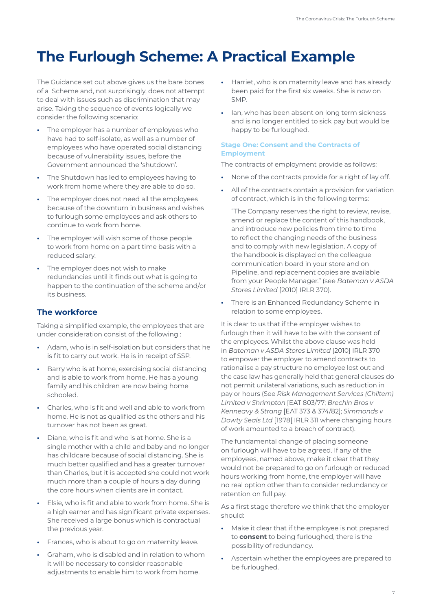## <span id="page-8-0"></span>**The Furlough Scheme: A Practical Example**

The Guidance set out above gives us the bare bones of a Scheme and, not surprisingly, does not attempt to deal with issues such as discrimination that may arise. Taking the sequence of events logically we consider the following scenario:

- **•** The employer has a number of employees who have had to self-isolate, as well as a number of employees who have operated social distancing because of vulnerability issues, before the Government announced the 'shutdown'.
- **•** The Shutdown has led to employees having to work from home where they are able to do so.
- **•** The employer does not need all the employees because of the downturn in business and wishes to furlough some employees and ask others to continue to work from home.
- **•** The employer will wish some of those people to work from home on a part time basis with a reduced salary.
- **•** The employer does not wish to make redundancies until it finds out what is going to happen to the continuation of the scheme and/or its business.

## **The workforce**

Taking a simplified example, the employees that are under consideration consist of the following :

- **•** Adam, who is in self-isolation but considers that he is fit to carry out work. He is in receipt of SSP.
- **•** Barry who is at home, exercising social distancing and is able to work from home. He has a young family and his children are now being home schooled.
- **•** Charles, who is fit and well and able to work from home. He is not as qualified as the others and his turnover has not been as great.
- **•** Diane, who is fit and who is at home. She is a single mother with a child and baby and no longer has childcare because of social distancing. She is much better qualified and has a greater turnover than Charles, but it is accepted she could not work much more than a couple of hours a day during the core hours when clients are in contact.
- **•** Elsie, who is fit and able to work from home. She is a high earner and has significant private expenses. She received a large bonus which is contractual the previous year.
- **•** Frances, who is about to go on maternity leave.
- **•** Graham, who is disabled and in relation to whom it will be necessary to consider reasonable adjustments to enable him to work from home.
- **•** Harriet, who is on maternity leave and has already been paid for the first six weeks. She is now on SMP.
- **•** Ian, who has been absent on long term sickness and is no longer entitled to sick pay but would be happy to be furloughed.

## **Stage One: Consent and the Contracts of Employment**

The contracts of employment provide as follows:

- **•** None of the contracts provide for a right of lay off.
- **•** All of the contracts contain a provision for variation of contract, which is in the following terms:

"The Company reserves the right to review, revise, amend or replace the content of this handbook, and introduce new policies from time to time to reflect the changing needs of the business and to comply with new legislation. A copy of the handbook is displayed on the colleague communication board in your store and on Pipeline, and replacement copies are available from your People Manager." (see *Bateman v ASDA Stores Limited* [2010] IRLR 370).

**•** There is an Enhanced Redundancy Scheme in relation to some employees.

It is clear to us that if the employer wishes to furlough then it will have to be with the consent of the employees. Whilst the above clause was held in *Bateman v ASDA Stores Limited* [2010] IRLR 370 to empower the employer to amend contracts to rationalise a pay structure no employee lost out and the case law has generally held that general clauses do not permit unilateral variations, such as reduction in pay or hours (See *Risk Management Services (Chiltern) Limited v Shrimpton* [EAT 803/77; *Brechin Bros v Kenneavy & Strang* [EAT 373 & 374/82]; *Simmonds v Dowty Seals Ltd* [1978[ IRLR 311 where changing hours of work amounted to a breach of contract).

The fundamental change of placing someone on furlough will have to be agreed. If any of the employees, named above, make it clear that they would not be prepared to go on furlough or reduced hours working from home, the employer will have no real option other than to consider redundancy or retention on full pay.

As a first stage therefore we think that the employer should:

- **•** Make it clear that if the employee is not prepared to **consent** to being furloughed, there is the possibility of redundancy.
- **•** Ascertain whether the employees are prepared to be furloughed.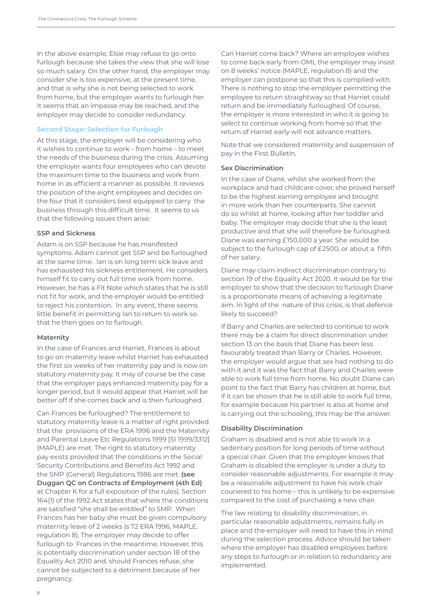In the above example, Elsie may refuse to go onto furlough because she takes the view that she will lose so much salary. On the other hand, the employer may consider she is too expensive, at the present time, and that is why she is not being selected to work from home, but the employer wants to furlough her. It seems that an impasse may be reached, and the employer may decide to consider redundancy.

#### **Second Stage: Selection for Furlough**

At this stage, the employer will be considering who it wishes to continue to work – from home – to meet the needs of the business during the crisis. Assuming the employer wants four employees who can devote the maximum time to the business and work from home in as efficient a manner as possible. It reviews the position of the eight employees and decides on the four that it considers best equipped to carry the business through this difficult time. It seems to us that the following issues then arise:

#### **SSP and Sickness**

Adam is on SSP because he has manifested symptoms. Adam cannot get SSP and be furloughed at the same time. Ian is on long term sick leave and has exhausted his sickness entitlement. He considers himself fit to carry out full time work from home. However, he has a Fit Note which states that he is still not fit for work, and the employer would be entitled to reject his contention. In any event, there seems little benefit in permitting Ian to return to work so that he then goes on to furlough.

#### **Maternity**

In the case of Frances and Harriet, Frances is about to go on maternity leave whilst Harriet has exhausted the first six weeks of her maternity pay and is now on statutory maternity pay. It may of course be the case that the employer pays enhanced maternity pay for a longer period, but it would appear that Harriet will be better off if she comes back and is then furloughed.

Can Frances be furloughed? The entitlement to statutory maternity leave is a matter of right provided that the provisions of the ERA 1996 and the Maternity and Parental Leave Etc Regulations 1999 [SI 1999/3312] (MAPLE) are met. The right to statutory maternity pay exists provided that the conditions in the Social Security Contributions and Benefits Act 1992 and the SMP (General) Regulations 1986 are met. **(see Duggan QC on Contracts of Employment (4th Ed)** at Chapter K for a full exposition of the rules). Section 164(1) of the 1992 Act states that where the conditions are satisfied "she shall be entitled" to SMP. When Frances has her baby she must be given compulsory maternity leave of 2 weeks (s 72 ERA 1996, MAPLE, regulation 8). The employer may decide to offer furlough to Frances in the meantime. However, this is potentially discrimination under section 18 of the Equality Act 2010 and, should Frances refuse, she cannot be subjected to a detriment because of her pregnancy.

Can Harriet come back? Where an employee wishes to come back early from OML the employer may insist on 8 weeks' notice (MAPLE, regulation 8) and the employer can postpone so that this is complied with. There is nothing to stop the employer permitting the employee to return straightway so that Harriet could return and be immediately furloughed. Of course, the employer is more interested in who it is going to select to continue working from home so that the return of Harriet early will not advance matters.

Note that we considered maternity and suspension of pay in the First Bulletin.

#### **Sex Discrimination**

In the case of Diane, whilst she worked from the workplace and had childcare cover, she proved herself to be the highest earning employee and brought in more work than her counterparts. She cannot do so whilst at home, looking after her toddler and baby. The employer may decide that she is the least productive and that she will therefore be furloughed. Diane was earning £150,000 a year. She would be subject to the furlough cap of £2500, or about a fifth of her salary.

Diane may claim indirect discrimination contrary to section 19 of the Equality Act 2020. It would be for the employer to show that the decision to furlough Diane is a proportionate means of achieving a legitimate aim. In light of the nature of this crisis, is that defence likely to succeed?

If Barry and Charles are selected to continue to work there may be a claim for direct discrimination under section 13 on the basis that Diane has been less favourably treated than Barry or Charles. However, the employer would argue that sex had nothing to do with it and it was the fact that Barry and Charles were able to work full time from home. No doubt Diane can point to the fact that Barry has children at home, but if it can be shown that he is still able to work full time, for example because his partner is also at home and is carrying out the schooling, this may be the answer.

#### **Disability Discrimination**

Graham is disabled and is not able to work in a sedentary position for long periods of time without a special chair. Given that the employer knows that Graham is disabled the employer is under a duty to consider reasonable adjustments. For example it may be a reasonable adjustment to have his work chair couriered to his home – this is unlikely to be expensive compared to the cost of purchasing a new chair.

The law relating to disability discrimination, in particular reasonable adjustments, remains fully in place and the employer will need to have this in mind during the selection process. Advice should be taken where the employer has disabled employees before any steps to furlough or in relation to redundancy are implemented.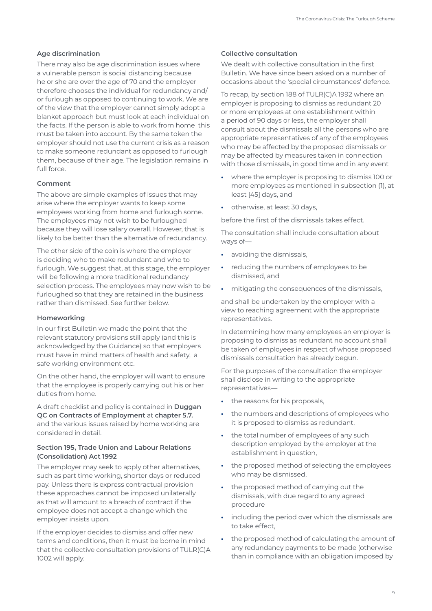## **Age discrimination**

There may also be age discrimination issues where a vulnerable person is social distancing because he or she are over the age of 70 and the employer therefore chooses the individual for redundancy and/ or furlough as opposed to continuing to work. We are of the view that the employer cannot simply adopt a blanket approach but must look at each individual on the facts. If the person is able to work from home this must be taken into account. By the same token the employer should not use the current crisis as a reason to make someone redundant as opposed to furlough them, because of their age. The legislation remains in full force.

## **Comment**

The above are simple examples of issues that may arise where the employer wants to keep some employees working from home and furlough some. The employees may not wish to be furloughed because they will lose salary overall. However, that is likely to be better than the alternative of redundancy.

The other side of the coin is where the employer is deciding who to make redundant and who to furlough. We suggest that, at this stage, the employer will be following a more traditional redundancy selection process. The employees may now wish to be furloughed so that they are retained in the business rather than dismissed. See further below.

## **Homeworking**

In our first Bulletin we made the point that the relevant statutory provisions still apply (and this is acknowledged by the Guidance) so that employers must have in mind matters of health and safety, a safe working environment etc.

On the other hand, the employer will want to ensure that the employee is properly carrying out his or her duties from home.

A draft checklist and policy is contained in **Duggan QC on Contracts of Employment** at **chapter 5.7.** and the various issues raised by home working are considered in detail.

## **Section 195, Trade Union and Labour Relations (Consolidation) Act 1992**

The employer may seek to apply other alternatives, such as part time working, shorter days or reduced pay. Unless there is express contractual provision these approaches cannot be imposed unilaterally as that will amount to a breach of contract if the employee does not accept a change which the employer insists upon.

If the employer decides to dismiss and offer new terms and conditions, then it must be borne in mind that the collective consultation provisions of TULR(C)A 1002 will apply.

## **Collective consultation**

We dealt with collective consultation in the first Bulletin. We have since been asked on a number of occasions about the 'special circumstances' defence.

To recap, by section 188 of TULR(C)A 1992 where an employer is proposing to dismiss as redundant 20 or more employees at one establishment within a period of 90 days or less, the employer shall consult about the dismissals all the persons who are appropriate representatives of any of the employees who may be affected by the proposed dismissals or may be affected by measures taken in connection with those dismissals, in good time and in any event

- **•** where the employer is proposing to dismiss 100 or more employees as mentioned in subsection (1), at least [45] days, and
- **•** otherwise, at least 30 days,

before the first of the dismissals takes effect.

The consultation shall include consultation about ways of—

- **•** avoiding the dismissals,
- **•** reducing the numbers of employees to be dismissed, and
- **•** mitigating the consequences of the dismissals,

and shall be undertaken by the employer with a view to reaching agreement with the appropriate representatives.

In determining how many employees an employer is proposing to dismiss as redundant no account shall be taken of employees in respect of whose proposed dismissals consultation has already begun.

For the purposes of the consultation the employer shall disclose in writing to the appropriate representatives—

- **•** the reasons for his proposals,
- **•** the numbers and descriptions of employees who it is proposed to dismiss as redundant,
- **•** the total number of employees of any such description employed by the employer at the establishment in question,
- **•** the proposed method of selecting the employees who may be dismissed,
- **•** the proposed method of carrying out the dismissals, with due regard to any agreed procedure
- **•** including the period over which the dismissals are to take effect,
- **•** the proposed method of calculating the amount of any redundancy payments to be made (otherwise than in compliance with an obligation imposed by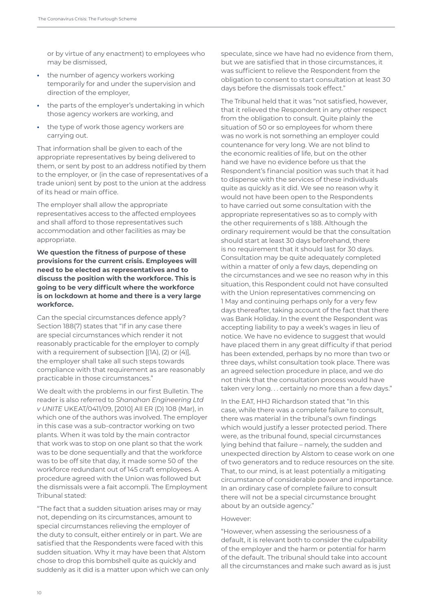or by virtue of any enactment) to employees who may be dismissed,

- **•** the number of agency workers working temporarily for and under the supervision and direction of the employer,
- **•** the parts of the employer's undertaking in which those agency workers are working, and
- **•** the type of work those agency workers are carrying out.

That information shall be given to each of the appropriate representatives by being delivered to them, or sent by post to an address notified by them to the employer, or (in the case of representatives of a trade union) sent by post to the union at the address of its head or main office.

The employer shall allow the appropriate representatives access to the affected employees and shall afford to those representatives such accommodation and other facilities as may be appropriate.

## **We question the fitness of purpose of these provisions for the current crisis. Employees will need to be elected as representatives and to discuss the position with the workforce. This is going to be very difficult where the workforce is on lockdown at home and there is a very large workforce.**

Can the special circumstances defence apply? Section 188(7) states that "If in any case there are special circumstances which render it not reasonably practicable for the employer to comply with a requirement of subsection [(1A), (2) or (4)], the employer shall take all such steps towards compliance with that requirement as are reasonably practicable in those circumstances."

We dealt with the problems in our first Bulletin. The reader is also referred to *Shanahan Engineering Ltd v UNITE* UKEAT/0411/09, [2010] All ER (D) 108 (Mar), in which one of the authors was involved. The employer in this case was a sub-contractor working on two plants. When it was told by the main contractor that work was to stop on one plant so that the work was to be done sequentially and that the workforce was to be off site that day, it made some 50 of the workforce redundant out of 145 craft employees. A procedure agreed with the Union was followed but the dismissals were a fait accompli. The Employment Tribunal stated:

"The fact that a sudden situation arises may or may not, depending on its circumstances, amount to special circumstances relieving the employer of the duty to consult, either entirely or in part. We are satisfied that the Respondents were faced with this sudden situation. Why it may have been that Alstom chose to drop this bombshell quite as quickly and suddenly as it did is a matter upon which we can only speculate, since we have had no evidence from them, but we are satisfied that in those circumstances, it was sufficient to relieve the Respondent from the obligation to consent to start consultation at least 30 days before the dismissals took effect."

The Tribunal held that it was "not satisfied, however, that it relieved the Respondent in any other respect from the obligation to consult. Quite plainly the situation of 50 or so employees for whom there was no work is not something an employer could countenance for very long. We are not blind to the economic realities of life, but on the other hand we have no evidence before us that the Respondent's financial position was such that it had to dispense with the services of these individuals quite as quickly as it did. We see no reason why it would not have been open to the Respondents to have carried out some consultation with the appropriate representatives so as to comply with the other requirements of s 188. Although the ordinary requirement would be that the consultation should start at least 30 days beforehand, there is no requirement that it should last for 30 days. Consultation may be quite adequately completed within a matter of only a few days, depending on the circumstances and we see no reason why in this situation, this Respondent could not have consulted with the Union representatives commencing on 1 May and continuing perhaps only for a very few days thereafter, taking account of the fact that there was Bank Holiday. In the event the Respondent was accepting liability to pay a week's wages in lieu of notice. We have no evidence to suggest that would have placed them in any great difficulty if that period has been extended, perhaps by no more than two or three days, whilst consultation took place. There was an agreed selection procedure in place, and we do not think that the consultation process would have taken very long. . . certainly no more than a few days."

In the EAT, HHJ Richardson stated that "In this case, while there was a complete failure to consult, there was material in the tribunal's own findings which would justify a lesser protected period. There were, as the tribunal found, special circumstances lying behind that failure – namely, the sudden and unexpected direction by Alstom to cease work on one of two generators and to reduce resources on the site. That, to our mind, is at least potentially a mitigating circumstance of considerable power and importance. In an ordinary case of complete failure to consult there will not be a special circumstance brought about by an outside agency."

#### However:

"However, when assessing the seriousness of a default, it is relevant both to consider the culpability of the employer and the harm or potential for harm of the default. The tribunal should take into account all the circumstances and make such award as is just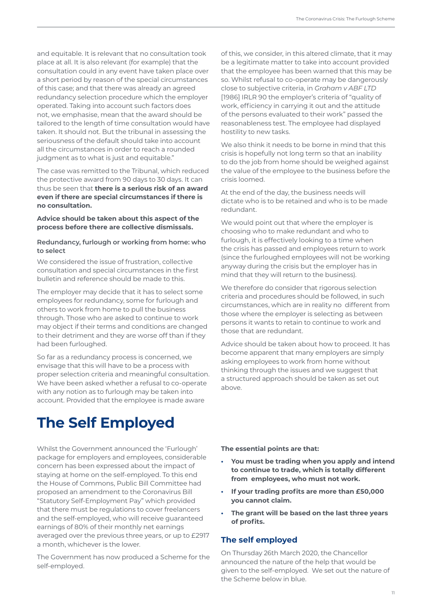<span id="page-12-0"></span>and equitable. It is relevant that no consultation took place at all. It is also relevant (for example) that the consultation could in any event have taken place over a short period by reason of the special circumstances of this case; and that there was already an agreed redundancy selection procedure which the employer operated. Taking into account such factors does not, we emphasise, mean that the award should be tailored to the length of time consultation would have taken. It should not. But the tribunal in assessing the seriousness of the default should take into account all the circumstances in order to reach a rounded judgment as to what is just and equitable."

The case was remitted to the Tribunal, which reduced the protective award from 90 days to 30 days. It can thus be seen that **there is a serious risk of an award even if there are special circumstances if there is no consultation.** 

## **Advice should be taken about this aspect of the process before there are collective dismissals.**

## **Redundancy, furlough or working from home: who to select**

We considered the issue of frustration, collective consultation and special circumstances in the first bulletin and reference should be made to this.

The employer may decide that it has to select some employees for redundancy, some for furlough and others to work from home to pull the business through. Those who are asked to continue to work may object if their terms and conditions are changed to their detriment and they are worse off than if they had been furloughed.

So far as a redundancy process is concerned, we envisage that this will have to be a process with proper selection criteria and meaningful consultation. We have been asked whether a refusal to co-operate with any notion as to furlough may be taken into account. Provided that the employee is made aware

# **The Self Employed**

Whilst the Government announced the 'Furlough' package for employers and employees, considerable concern has been expressed about the impact of staying at home on the self-employed. To this end the House of Commons, Public Bill Committee had proposed an amendment to the Coronavirus Bill "Statutory Self-Employment Pay" which provided that there must be regulations to cover freelancers and the self-employed, who will receive guaranteed earnings of 80% of their monthly net earnings averaged over the previous three years, or up to £2917 a month, whichever is the lower.

The Government has now produced a Scheme for the self-employed.

of this, we consider, in this altered climate, that it may be a legitimate matter to take into account provided that the employee has been warned that this may be so. Whilst refusal to co-operate may be dangerously close to subjective criteria, in *Graham v ABF LTD*  [1986] IRLR 90 the employer's criteria of "quality of work, efficiency in carrying it out and the attitude of the persons evaluated to their work" passed the reasonableness test. The employee had displayed hostility to new tasks.

We also think it needs to be borne in mind that this crisis is hopefully not long term so that an inability to do the job from home should be weighed against the value of the employee to the business before the crisis loomed.

At the end of the day, the business needs will dictate who is to be retained and who is to be made redundant.

We would point out that where the employer is choosing who to make redundant and who to furlough, it is effectively looking to a time when the crisis has passed and employees return to work (since the furloughed employees will not be working anyway during the crisis but the employer has in mind that they will return to the business).

We therefore do consider that rigorous selection criteria and procedures should be followed, in such circumstances, which are in reality no different from those where the employer is selecting as between persons it wants to retain to continue to work and those that are redundant.

Advice should be taken about how to proceed. It has become apparent that many employers are simply asking employees to work from home without thinking through the issues and we suggest that a structured approach should be taken as set out above.

**The essential points are that:**

- **• You must be trading when you apply and intend to continue to trade, which is totally different from employees, who must not work.**
- **• If your trading profits are more than £50,000 you cannot claim.**
- **• The grant will be based on the last three years of profits.**

## **The self employed**

On Thursday 26th March 2020, the Chancellor announced the nature of the help that would be given to the self-employed. We set out the nature of the Scheme below in blue.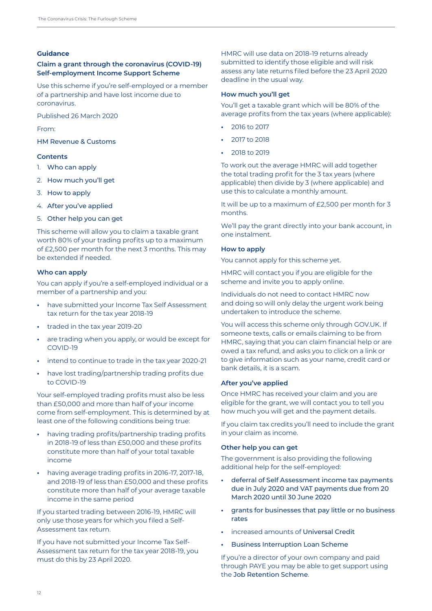#### **Guidance**

## **Claim a grant through the coronavirus (COVID-19) Self-employment Income Support Scheme**

Use this scheme if you're self-employed or a member of a partnership and have lost income due to coronavirus.

Published 26 March 2020

From:

[HM Revenue & Customs](https://www.gov.uk/government/organisations/hm-revenue-customs) 

## **Contents**

- 1. [Who can apply](https://www.gov.uk/guidance/claim-a-grant-through-the-coronavirus-covid-19-self-employment-income-support-scheme#who-can-apply)
- 2. [How much you'll get](https://www.gov.uk/guidance/claim-a-grant-through-the-coronavirus-covid-19-self-employment-income-support-scheme#how-much-youll-get)
- 3. [How to apply](https://www.gov.uk/guidance/claim-a-grant-through-the-coronavirus-covid-19-self-employment-income-support-scheme#how-to-apply)
- 4. [After you've applied](https://www.gov.uk/guidance/claim-a-grant-through-the-coronavirus-covid-19-self-employment-income-support-scheme#after-youve-applied)
- 5. [Other help you can get](https://www.gov.uk/guidance/claim-a-grant-through-the-coronavirus-covid-19-self-employment-income-support-scheme#other-help-you-can-get)

This scheme will allow you to claim a taxable grant worth 80% of your trading profits up to a maximum of £2,500 per month for the next 3 months. This may be extended if needed.

## **Who can apply**

You can apply if you're a self-employed individual or a member of a partnership and you:

- **•** have submitted your Income Tax Self Assessment tax return for the tax year 2018-19
- **•** traded in the tax year 2019-20
- **•** are trading when you apply, or would be except for COVID-19
- **•** intend to continue to trade in the tax year 2020-21
- **•** have lost trading/partnership trading profits due to COVID-19

Your self-employed trading profits must also be less than £50,000 and more than half of your income come from self-employment. This is determined by at least one of the following conditions being true:

- **•** having trading profits/partnership trading profits in 2018-19 of less than £50,000 and these profits constitute more than half of your total taxable income
- **•** having average trading profits in 2016-17, 2017-18, and 2018-19 of less than £50,000 and these profits constitute more than half of your average taxable income in the same period

If you started trading between 2016-19, HMRC will only use those years for which you filed a Self-Assessment tax return.

If you have not submitted your Income Tax Self-Assessment tax return for the tax year 2018-19, you must do this by 23 April 2020.

HMRC will use data on 2018-19 returns already submitted to identify those eligible and will risk assess any late returns filed before the 23 April 2020 deadline in the usual way.

## **How much you'll get**

You'll get a taxable grant which will be 80% of the average profits from the tax years (where applicable):

- **•** 2016 to 2017
- **•** 2017 to 2018
- **•** 2018 to 2019

To work out the average HMRC will add together the total trading profit for the 3 tax years (where applicable) then divide by 3 (where applicable) and use this to calculate a monthly amount.

It will be up to a maximum of £2,500 per month for 3 months.

We'll pay the grant directly into your bank account, in one instalment.

## **How to apply**

You cannot apply for this scheme yet.

HMRC will contact you if you are eligible for the scheme and invite you to apply online.

Individuals do not need to contact HMRC now and doing so will only delay the urgent work being undertaken to introduce the scheme.

You will access this scheme only through GOV.UK. If someone texts, calls or emails claiming to be from HMRC, saying that you can claim financial help or are owed a tax refund, and asks you to click on a link or to give information such as your name, credit card or bank details, it is a scam.

## **After you've applied**

Once HMRC has received your claim and you are eligible for the grant, we will contact you to tell you how much you will get and the payment details.

If you claim tax credits you'll need to include the grant in your claim as income.

## **Other help you can get**

The government is also providing the following additional help for the self-employed:

- **•** [deferral of Self Assessment income tax payments](https://www.gov.uk/government/publications/guidance-to-employers-and-businesses-about-covid-19/covid-19-support-for-businesses#support-for-businesses-through-deferring-vat-and-income-tax-payments)  [due in July 2020 and VAT payments due from 20](https://www.gov.uk/government/publications/guidance-to-employers-and-businesses-about-covid-19/covid-19-support-for-businesses#support-for-businesses-through-deferring-vat-and-income-tax-payments)  [March 2020 until 30 June 2020](https://www.gov.uk/government/publications/guidance-to-employers-and-businesses-about-covid-19/covid-19-support-for-businesses#support-for-businesses-through-deferring-vat-and-income-tax-payments)
- **•** [grants for businesses that pay little or no business](https://www.gov.uk/government/publications/guidance-to-employers-and-businesses-about-covid-19/covid-19-support-for-businesses#support-for-businesses-that-pay-little-or-no-business-rates) [rates](https://www.gov.uk/government/publications/guidance-to-employers-and-businesses-about-covid-19/covid-19-support-for-businesses#support-for-businesses-that-pay-little-or-no-business-rates)
- **•** increased amounts of [Universal Credit](https://www.gov.uk/universal-credit)
- **•** [Business Interruption Loan Scheme](https://www.gov.uk/government/publications/guidance-to-employers-and-businesses-about-covid-19/covid-19-support-for-businesses#support-for-businesses-through-the-coronavirus-business-interruption-loan-scheme)

If you're a director of your own company and paid through PAYE you may be able to get support using the [Job Retention Scheme](https://www.gov.uk/guidance/check-if-you-could-be-covered-by-the-coronavirus-job-retention-scheme).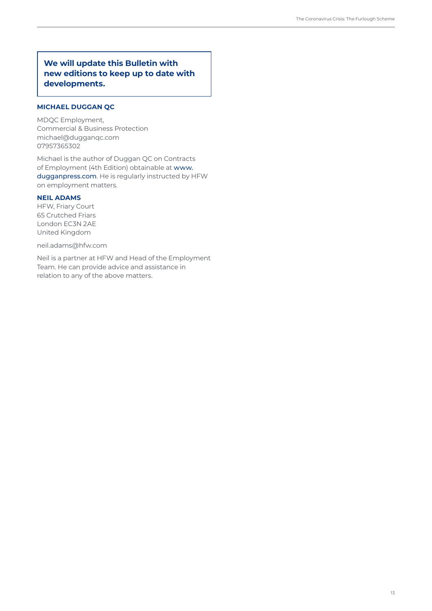## **We will update this Bulletin with new editions to keep up to date with developments.**

## **MICHAEL DUGGAN QC**

MDQC Employment, Commercial & Business Protection michael@dugganqc.com 07957365302

Michael is the author of Duggan QC on Contracts of Employment (4th Edition) obtainable at [www.](http://www.dugganpress.com) [dugganpress.com](http://www.dugganpress.com). He is regularly instructed by HFW on employment matters.

#### **NEIL ADAMS**

HFW, Friary Court 65 Crutched Friars London EC3N 2AE United Kingdom

neil.adams@hfw.com

Neil is a partner at HFW and Head of the Employment Team. He can provide advice and assistance in relation to any of the above matters.